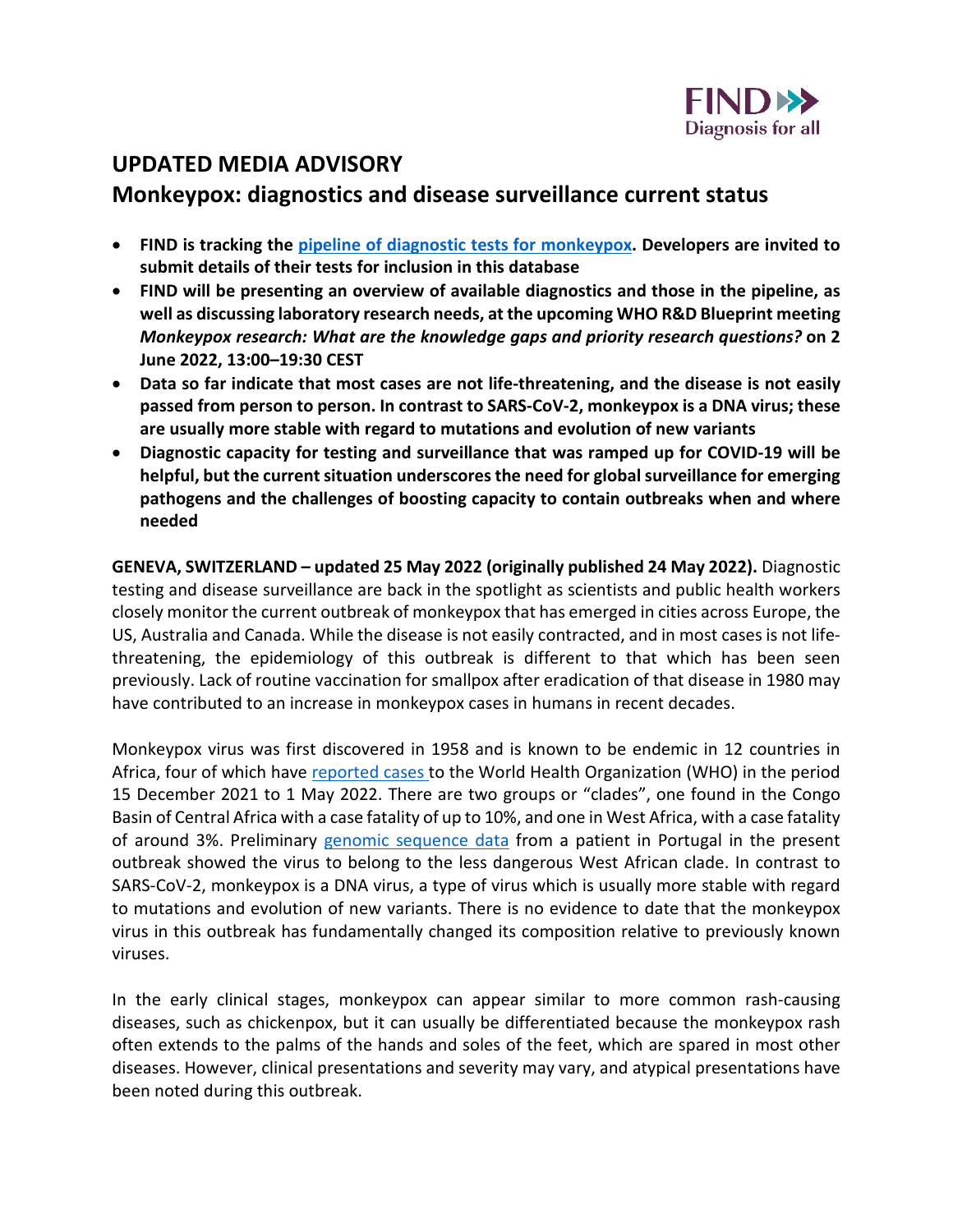

## **UPDATED MEDIA ADVISORY**

## **Monkeypox: diagnostics and disease surveillance current status**

- **FIND is tracking the [pipeline of diagnostic tests for monkeypox.](https://www.finddx.org/mpx-test-directory/) Developers are invited to submit details of their tests for inclusion in this database**
- **FIND will be presenting an overview of available diagnostics and those in the pipeline, as well as discussing laboratory research needs, at the upcoming WHO R&D Blueprint meeting**  *Monkeypox research: What are the knowledge gaps and priority research questions?* **on 2 June 2022, 13:00–19:30 CEST**
- **Data so far indicate that most cases are not life-threatening, and the disease is not easily passed from person to person. In contrast to SARS-CoV-2, monkeypox is a DNA virus; these are usually more stable with regard to mutations and evolution of new variants**
- **Diagnostic capacity for testing and surveillance that was ramped up for COVID-19 will be helpful, but the current situation underscores the need for global surveillance for emerging pathogens and the challenges of boosting capacity to contain outbreaks when and where needed**

**GENEVA, SWITZERLAND – updated 25 May 2022 (originally published 24 May 2022).** Diagnostic testing and disease surveillance are back in the spotlight as scientists and public health workers closely monitor the current outbreak of monkeypox that has emerged in cities across Europe, the US, Australia and Canada. While the disease is not easily contracted, and in most cases is not lifethreatening, the epidemiology of this outbreak is different to that which has been seen previously. Lack of routine vaccination for smallpox after eradication of that disease in 1980 may have contributed to an increase in monkeypox cases in humans in recent decades.

Monkeypox virus was first discovered in 1958 and is known to be endemic in 12 countries in Africa, four of which have [reported cases t](https://www.who.int/emergencies/disease-outbreak-news/item/2022-DON385)o the World Health Organization (WHO) in the period 15 December 2021 to 1 May 2022. There are two groups or "clades", one found in the Congo Basin of Central Africa with a case fatality of up to 10%, and one in West Africa, with a case fatality of around 3%. Preliminary [genomic sequence data](https://virological.org/t/first-draft-genome-sequence-of-monkeypox-virus-associated-with-the-suspected-multi-country-outbreak-may-2022-confirmed-case-in-portugal/799) from a patient in Portugal in the present outbreak showed the virus to belong to the less dangerous West African clade. In contrast to SARS-CoV-2, monkeypox is a DNA virus, a type of virus which is usually more stable with regard to mutations and evolution of new variants. There is no evidence to date that the monkeypox virus in this outbreak has fundamentally changed its composition relative to previously known viruses.

In the early clinical stages, monkeypox can appear similar to more common rash-causing diseases, such as chickenpox, but it can usually be differentiated because the monkeypox rash often extends to the palms of the hands and soles of the feet, which are spared in most other diseases. However, clinical presentations and severity may vary, and atypical presentations have been noted during this outbreak.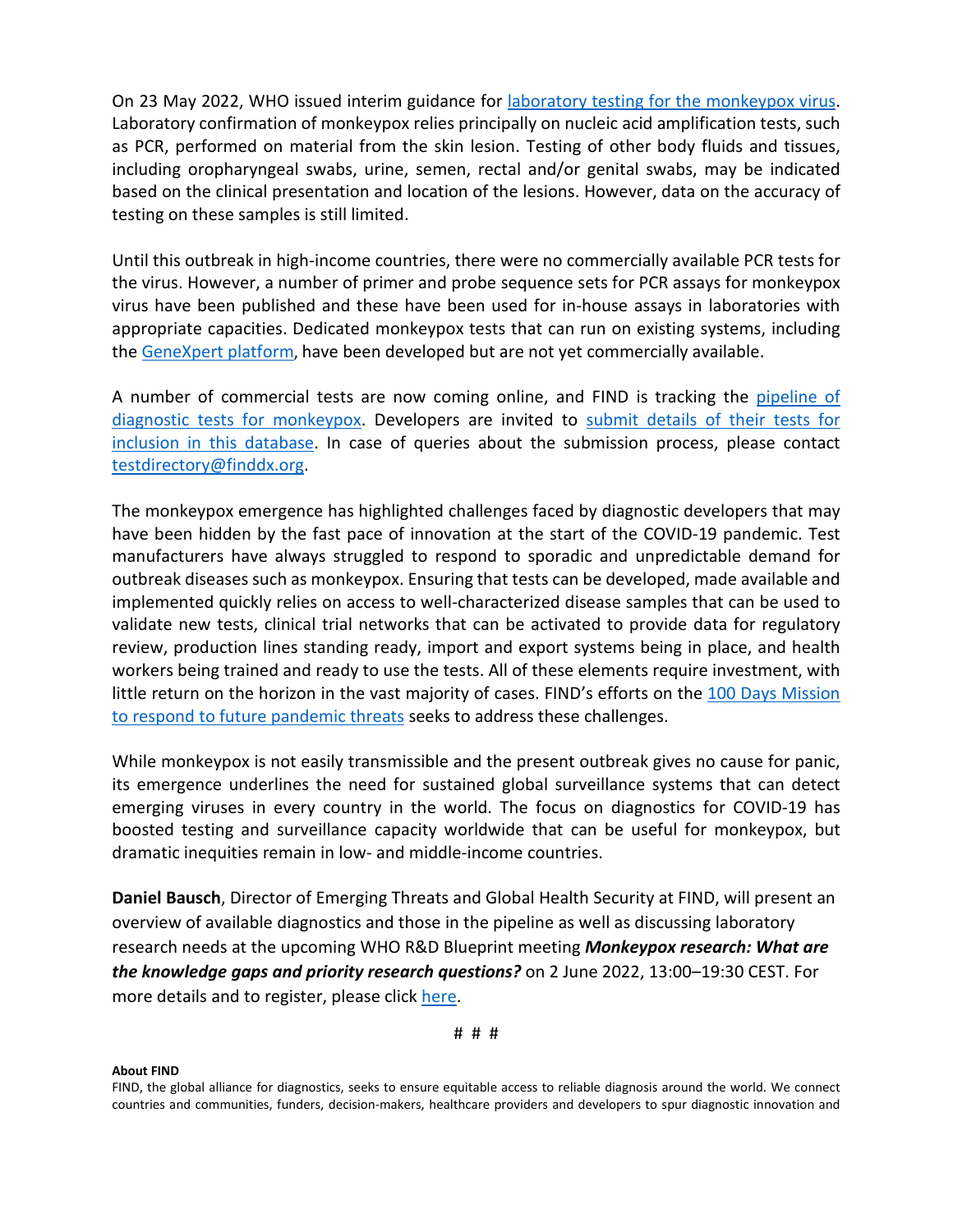On 23 May 2022, WHO issued interim guidance for [laboratory testing for the monkeypox virus.](https://apps.who.int/iris/handle/10665/354488) Laboratory confirmation of monkeypox relies principally on nucleic acid amplification tests, such as PCR, performed on material from the skin lesion. Testing of other body fluids and tissues, including oropharyngeal swabs, urine, semen, rectal and/or genital swabs, may be indicated based on the clinical presentation and location of the lesions. However, data on the accuracy of testing on these samples is still limited.

Until this outbreak in high-income countries, there were no commercially available PCR tests for the virus. However, a number of primer and probe sequence sets for PCR assays for monkeypox virus have been published and these have been used for in-house assays in laboratories with appropriate capacities. Dedicated monkeypox tests that can run on existing systems, including the [GeneXpert platform,](https://www.ajtmh.org/view/journals/tpmd/96/2/article-p405.xml) have been developed but are not yet commercially available.

A number of commercial tests are now coming online, and FIND is tracking the [pipeline of](https://www.finddx.org/mpx-test-directory/)  [diagnostic tests for monkeypox.](https://www.finddx.org/mpx-test-directory/) Developers are invited to [submit details of their tests for](https://technology-finddx.formtitan.com/ftd4676f871653476727154)  [inclusion in this database.](https://technology-finddx.formtitan.com/ftd4676f871653476727154) In case of queries about the submission process, please contact [testdirectory@finddx.org.](mailto:testdirectory@finddx.org)

The monkeypox emergence has highlighted challenges faced by diagnostic developers that may have been hidden by the fast pace of innovation at the start of the COVID-19 pandemic. Test manufacturers have always struggled to respond to sporadic and unpredictable demand for outbreak diseases such as monkeypox. Ensuring that tests can be developed, made available and implemented quickly relies on access to well-characterized disease samples that can be used to validate new tests, clinical trial networks that can be activated to provide data for regulatory review, production lines standing ready, import and export systems being in place, and health workers being trained and ready to use the tests. All of these elements require investment, with little return on the horizon in the vast majority of cases. FIND's efforts on the [100 Days Mission](https://100days.cepi.net/100-days-mission-diagnostic-test-future-pandemic/)  [to respond to future pandemic threats](https://100days.cepi.net/100-days-mission-diagnostic-test-future-pandemic/) seeks to address these challenges.

While monkeypox is not easily transmissible and the present outbreak gives no cause for panic, its emergence underlines the need for sustained global surveillance systems that can detect emerging viruses in every country in the world. The focus on diagnostics for COVID-19 has boosted testing and surveillance capacity worldwide that can be useful for monkeypox, but dramatic inequities remain in low- and middle-income countries.

**Daniel Bausch**, Director of Emerging Threats and Global Health Security at FIND, will present an overview of available diagnostics and those in the pipeline as well as discussing laboratory research needs at the upcoming WHO R&D Blueprint meeting *Monkeypox research: What are the knowledge gaps and priority research questions?* on 2 June 2022, 13:00–19:30 CEST. For more details and to register, please click [here.](https://www.who.int/news-room/events/detail/2022/06/02/default-calendar/who-monkeypox-research--what-are-the-knowledge-gaps-and-priority-research-questions)

## **About FIND**

FIND, the global alliance for diagnostics, seeks to ensure equitable access to reliable diagnosis around the world. We connect countries and communities, funders, decision-makers, healthcare providers and developers to spur diagnostic innovation and